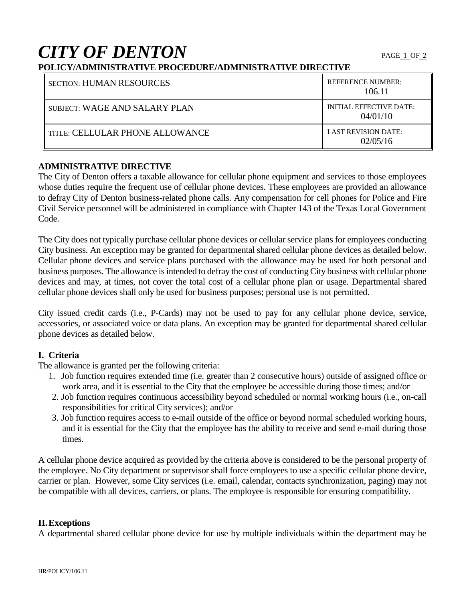# **CITY OF DENTON**

# **POLICY/ADMINISTRATIVE PROCEDURE/ADMINISTRATIVE DIRECTIVE**

| <b>SECTION: HUMAN RESOURCES</b>        | <b>REFERENCE NUMBER:</b><br>106.11  |
|----------------------------------------|-------------------------------------|
| SUBJECT: WAGE AND SALARY PLAN          | INITIAL EFFECTIVE DATE:<br>04/01/10 |
| <b>TITLE: CELLULAR PHONE ALLOWANCE</b> | LAST REVISION DATE:<br>02/05/16     |

#### **ADMINISTRATIVE DIRECTIVE**

The City of Denton offers a taxable allowance for cellular phone equipment and services to those employees whose duties require the frequent use of cellular phone devices. These employees are provided an allowance to defray City of Denton business-related phone calls. Any compensation for cell phones for Police and Fire Civil Service personnel will be administered in compliance with Chapter 143 of the Texas Local Government Code.

The City does not typically purchase cellular phone devices or cellular service plans for employees conducting City business. An exception may be granted for departmental shared cellular phone devices as detailed below. Cellular phone devices and service plans purchased with the allowance may be used for both personal and business purposes. The allowance is intended to defray the cost of conducting City business with cellular phone devices and may, at times, not cover the total cost of a cellular phone plan or usage. Departmental shared cellular phone devices shall only be used for business purposes; personal use is not permitted.

City issued credit cards (i.e., P-Cards) may not be used to pay for any cellular phone device, service, accessories, or associated voice or data plans. An exception may be granted for departmental shared cellular phone devices as detailed below.

#### **I. Criteria**

The allowance is granted per the following criteria:

- 1. Job function requires extended time (i.e. greater than 2 consecutive hours) outside of assigned office or work area, and it is essential to the City that the employee be accessible during those times; and/or
- 2. Job function requires continuous accessibility beyond scheduled or normal working hours (i.e., on-call responsibilities for critical City services); and/or
- 3. Job function requires access to e-mail outside of the office or beyond normal scheduled working hours, and it is essential for the City that the employee has the ability to receive and send e-mail during those times.

A cellular phone device acquired as provided by the criteria above is considered to be the personal property of the employee. No City department or supervisor shall force employees to use a specific cellular phone device, carrier or plan. However, some City services (i.e. email, calendar, contacts synchronization, paging) may not be compatible with all devices, carriers, or plans. The employee is responsible for ensuring compatibility.

#### **II.Exceptions**

A departmental shared cellular phone device for use by multiple individuals within the department may be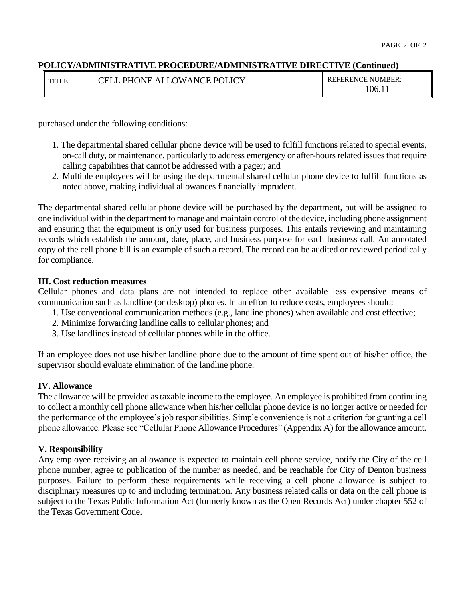#### **POLICY/ADMINISTRATIVE PROCEDURE/ADMINISTRATIVE DIRECTIVE (Continued)**

| TITI<br>$\mathbf{F}$<br>. | <b>PHONE ALLOWANCE POLICY</b><br>^EL J | <b>REFERENCE NUMBER:</b> |
|---------------------------|----------------------------------------|--------------------------|
|                           |                                        | .06.11                   |

purchased under the following conditions:

- 1. The departmental shared cellular phone device will be used to fulfill functions related to special events, on-call duty, or maintenance, particularly to address emergency or after-hours related issues that require calling capabilities that cannot be addressed with a pager; and
- 2. Multiple employees will be using the departmental shared cellular phone device to fulfill functions as noted above, making individual allowances financially imprudent.

The departmental shared cellular phone device will be purchased by the department, but will be assigned to one individual within the department to manage and maintain control of the device, including phone assignment and ensuring that the equipment is only used for business purposes. This entails reviewing and maintaining records which establish the amount, date, place, and business purpose for each business call. An annotated copy of the cell phone bill is an example of such a record. The record can be audited or reviewed periodically for compliance.

#### **III. Cost reduction measures**

Cellular phones and data plans are not intended to replace other available less expensive means of communication such as landline (or desktop) phones. In an effort to reduce costs, employees should:

- 1. Use conventional communication methods (e.g., landline phones) when available and cost effective;
- 2. Minimize forwarding landline calls to cellular phones; and
- 3. Use landlines instead of cellular phones while in the office.

If an employee does not use his/her landline phone due to the amount of time spent out of his/her office, the supervisor should evaluate elimination of the landline phone.

#### **IV. Allowance**

The allowance will be provided as taxable income to the employee. An employee is prohibited from continuing to collect a monthly cell phone allowance when his/her cellular phone device is no longer active or needed for the performance of the employee's job responsibilities. Simple convenience is not a criterion for granting a cell phone allowance. Please see "Cellular Phone Allowance Procedures" (Appendix A) for the allowance amount.

#### **V. Responsibility**

Any employee receiving an allowance is expected to maintain cell phone service, notify the City of the cell phone number, agree to publication of the number as needed, and be reachable for City of Denton business purposes. Failure to perform these requirements while receiving a cell phone allowance is subject to disciplinary measures up to and including termination. Any business related calls or data on the cell phone is subject to the Texas Public Information Act (formerly known as the Open Records Act) under chapter 552 of the Texas Government Code.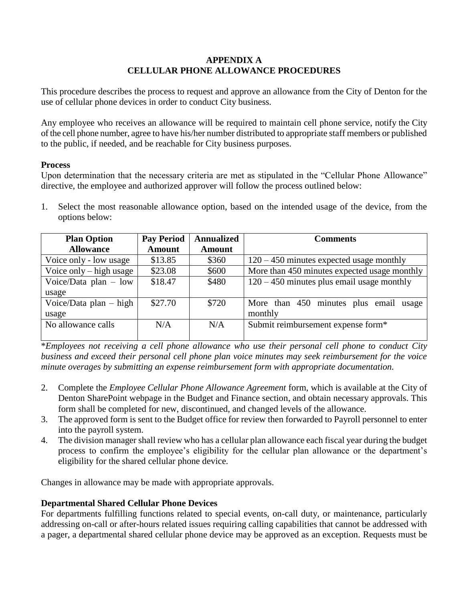## **APPENDIX A CELLULAR PHONE ALLOWANCE PROCEDURES**

This procedure describes the process to request and approve an allowance from the City of Denton for the use of cellular phone devices in order to conduct City business.

Any employee who receives an allowance will be required to maintain cell phone service, notify the City of the cell phone number, agree to have his/her number distributed to appropriate staff members or published to the public, if needed, and be reachable for City business purposes.

#### **Process**

Upon determination that the necessary criteria are met as stipulated in the "Cellular Phone Allowance" directive, the employee and authorized approver will follow the process outlined below:

1. Select the most reasonable allowance option, based on the intended usage of the device, from the options below:

| <b>Plan Option</b>        | <b>Pay Period</b> | <b>Annualized</b> | <b>Comments</b>                              |
|---------------------------|-------------------|-------------------|----------------------------------------------|
| <b>Allowance</b>          | <b>Amount</b>     | <b>Amount</b>     |                                              |
| Voice only - low usage    | \$13.85           | \$360             | $120 - 450$ minutes expected usage monthly   |
| Voice only $-$ high usage | \$23.08           | \$600             | More than 450 minutes expected usage monthly |
| Voice/Data plan $-$ low   | \$18.47           | \$480             | $120 - 450$ minutes plus email usage monthly |
| usage                     |                   |                   |                                              |
| Voice/Data plan $-$ high  | \$27.70           | \$720             | More than 450 minutes plus email<br>usage    |
| usage                     |                   |                   | monthly                                      |
| No allowance calls        | N/A               | N/A               | Submit reimbursement expense form*           |
|                           |                   |                   |                                              |

\**Employees not receiving a cell phone allowance who use their personal cell phone to conduct City business and exceed their personal cell phone plan voice minutes may seek reimbursement for the voice minute overages by submitting an expense reimbursement form with appropriate documentation.*

- 2. Complete the *Employee Cellular Phone Allowance Agreement* form, which is available at the City of Denton SharePoint webpage in the Budget and Finance section, and obtain necessary approvals. This form shall be completed for new, discontinued, and changed levels of the allowance.
- 3. The approved form is sent to the Budget office for review then forwarded to Payroll personnel to enter into the payroll system.
- 4. The division manager shall review who has a cellular plan allowance each fiscal year during the budget process to confirm the employee's eligibility for the cellular plan allowance or the department's eligibility for the shared cellular phone device.

Changes in allowance may be made with appropriate approvals.

# **Departmental Shared Cellular Phone Devices**

For departments fulfilling functions related to special events, on-call duty, or maintenance, particularly addressing on-call or after-hours related issues requiring calling capabilities that cannot be addressed with a pager, a departmental shared cellular phone device may be approved as an exception. Requests must be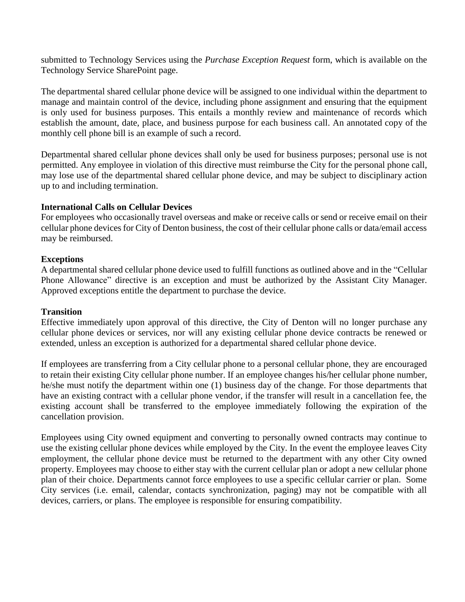submitted to Technology Services using the *Purchase Exception Request* form, which is available on the Technology Service SharePoint page.

The departmental shared cellular phone device will be assigned to one individual within the department to manage and maintain control of the device, including phone assignment and ensuring that the equipment is only used for business purposes. This entails a monthly review and maintenance of records which establish the amount, date, place, and business purpose for each business call. An annotated copy of the monthly cell phone bill is an example of such a record.

Departmental shared cellular phone devices shall only be used for business purposes; personal use is not permitted. Any employee in violation of this directive must reimburse the City for the personal phone call, may lose use of the departmental shared cellular phone device, and may be subject to disciplinary action up to and including termination.

#### **International Calls on Cellular Devices**

For employees who occasionally travel overseas and make or receive calls or send or receive email on their cellular phone devices for City of Denton business, the cost of their cellular phone calls or data/email access may be reimbursed.

#### **Exceptions**

A departmental shared cellular phone device used to fulfill functions as outlined above and in the "Cellular Phone Allowance" directive is an exception and must be authorized by the Assistant City Manager. Approved exceptions entitle the department to purchase the device.

#### **Transition**

Effective immediately upon approval of this directive, the City of Denton will no longer purchase any cellular phone devices or services, nor will any existing cellular phone device contracts be renewed or extended, unless an exception is authorized for a departmental shared cellular phone device.

If employees are transferring from a City cellular phone to a personal cellular phone, they are encouraged to retain their existing City cellular phone number. If an employee changes his/her cellular phone number, he/she must notify the department within one (1) business day of the change. For those departments that have an existing contract with a cellular phone vendor, if the transfer will result in a cancellation fee, the existing account shall be transferred to the employee immediately following the expiration of the cancellation provision.

Employees using City owned equipment and converting to personally owned contracts may continue to use the existing cellular phone devices while employed by the City. In the event the employee leaves City employment, the cellular phone device must be returned to the department with any other City owned property. Employees may choose to either stay with the current cellular plan or adopt a new cellular phone plan of their choice. Departments cannot force employees to use a specific cellular carrier or plan. Some City services (i.e. email, calendar, contacts synchronization, paging) may not be compatible with all devices, carriers, or plans. The employee is responsible for ensuring compatibility.